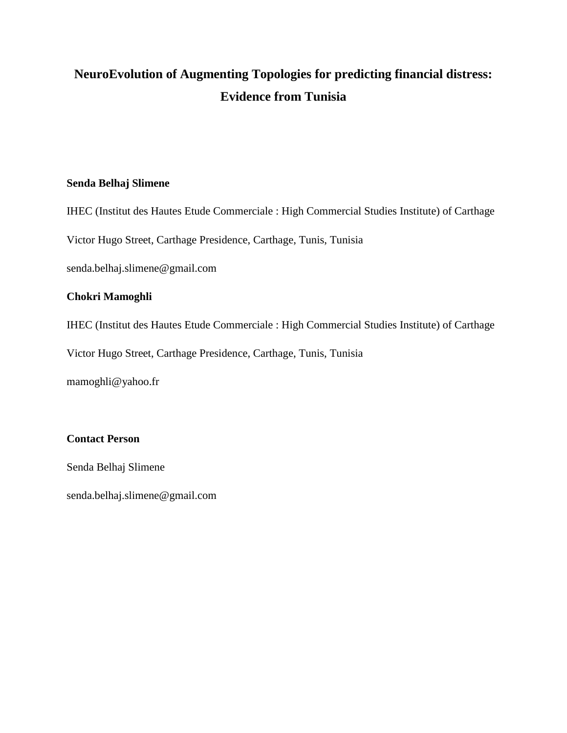# **NeuroEvolution of Augmenting Topologies for predicting financial distress: Evidence from Tunisia**

## **Senda Belhaj Slimene**

IHEC (Institut des Hautes Etude Commerciale : High Commercial Studies Institute) of Carthage

Victor Hugo Street, Carthage Presidence, Carthage, Tunis, Tunisia

senda.belhaj.slimene@gmail.com

# **Chokri Mamoghli**

IHEC (Institut des Hautes Etude Commerciale : High Commercial Studies Institute) of Carthage

Victor Hugo Street, Carthage Presidence, Carthage, Tunis, Tunisia

mamoghli@yahoo.fr

## **Contact Person**

Senda Belhaj Slimene

[senda.belhaj.slimene@gmail.com](mailto:senda.belhaj.slimene@gmail.com)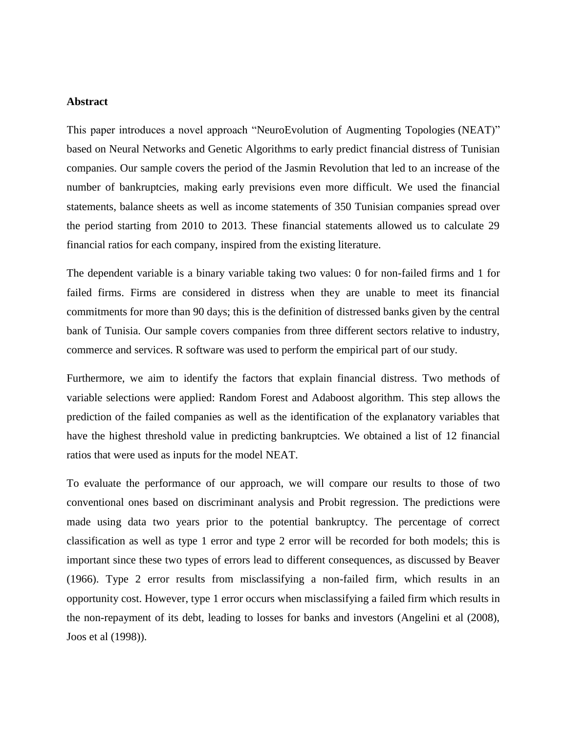#### **Abstract**

This paper introduces a novel approach "NeuroEvolution of Augmenting Topologies (NEAT)" based on Neural Networks and Genetic Algorithms to early predict financial distress of Tunisian companies. Our sample covers the period of the Jasmin Revolution that led to an increase of the number of bankruptcies, making early previsions even more difficult. We used the financial statements, balance sheets as well as income statements of 350 Tunisian companies spread over the period starting from 2010 to 2013. These financial statements allowed us to calculate 29 financial ratios for each company, inspired from the existing literature.

The dependent variable is a binary variable taking two values: 0 for non-failed firms and 1 for failed firms. Firms are considered in distress when they are unable to meet its financial commitments for more than 90 days; this is the definition of distressed banks given by the central bank of Tunisia. Our sample covers companies from three different sectors relative to industry, commerce and services. R software was used to perform the empirical part of our study.

Furthermore, we aim to identify the factors that explain financial distress. Two methods of variable selections were applied: Random Forest and Adaboost algorithm. This step allows the prediction of the failed companies as well as the identification of the explanatory variables that have the highest threshold value in predicting bankruptcies. We obtained a list of 12 financial ratios that were used as inputs for the model NEAT.

To evaluate the performance of our approach, we will compare our results to those of two conventional ones based on discriminant analysis and Probit regression. The predictions were made using data two years prior to the potential bankruptcy. The percentage of correct classification as well as type 1 error and type 2 error will be recorded for both models; this is important since these two types of errors lead to different consequences, as discussed by Beaver (1966). Type 2 error results from misclassifying a non-failed firm, which results in an opportunity cost. However, type 1 error occurs when misclassifying a failed firm which results in the non-repayment of its debt, leading to losses for banks and investors (Angelini et al (2008), Joos et al (1998)).